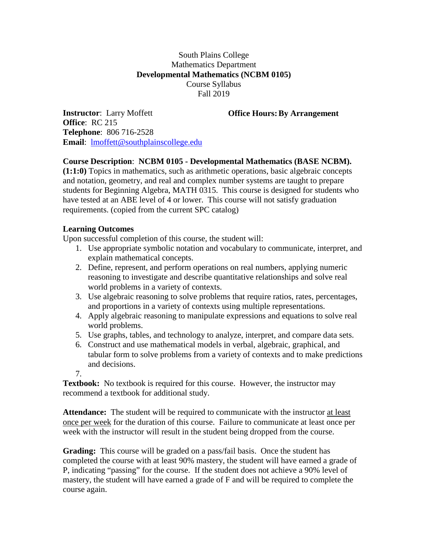## South Plains College Mathematics Department **Developmental Mathematics (NCBM 0105)** Course Syllabus Fall 2019

**Office Hours:By Arrangement**

**Instructor**: Larry Moffett **Office**: RC 215 **Telephone**: 806 716-2528 **Email**: [lmoffett@southplainscollege.edu](mailto:lmoffett@southplainscollege.edu)

## **Course Description**: **NCBM 0105 - Developmental Mathematics (BASE NCBM).**

**(1:1:0)** Topics in mathematics, such as arithmetic operations, basic algebraic concepts and notation, geometry, and real and complex number systems are taught to prepare students for Beginning Algebra, MATH 0315. This course is designed for students who have tested at an ABE level of 4 or lower. This course will not satisfy graduation requirements. (copied from the current SPC catalog)

## **Learning Outcomes**

Upon successful completion of this course, the student will:

- 1. Use appropriate symbolic notation and vocabulary to communicate, interpret, and explain mathematical concepts.
- 2. Define, represent, and perform operations on real numbers, applying numeric reasoning to investigate and describe quantitative relationships and solve real world problems in a variety of contexts.
- 3. Use algebraic reasoning to solve problems that require ratios, rates, percentages, and proportions in a variety of contexts using multiple representations.
- 4. Apply algebraic reasoning to manipulate expressions and equations to solve real world problems.
- 5. Use graphs, tables, and technology to analyze, interpret, and compare data sets.
- 6. Construct and use mathematical models in verbal, algebraic, graphical, and tabular form to solve problems from a variety of contexts and to make predictions and decisions.
- 7.

**Textbook:** No textbook is required for this course. However, the instructor may recommend a textbook for additional study.

**Attendance:** The student will be required to communicate with the instructor at least once per week for the duration of this course. Failure to communicate at least once per week with the instructor will result in the student being dropped from the course.

**Grading:** This course will be graded on a pass/fail basis. Once the student has completed the course with at least 90% mastery, the student will have earned a grade of P, indicating "passing" for the course. If the student does not achieve a 90% level of mastery, the student will have earned a grade of F and will be required to complete the course again.